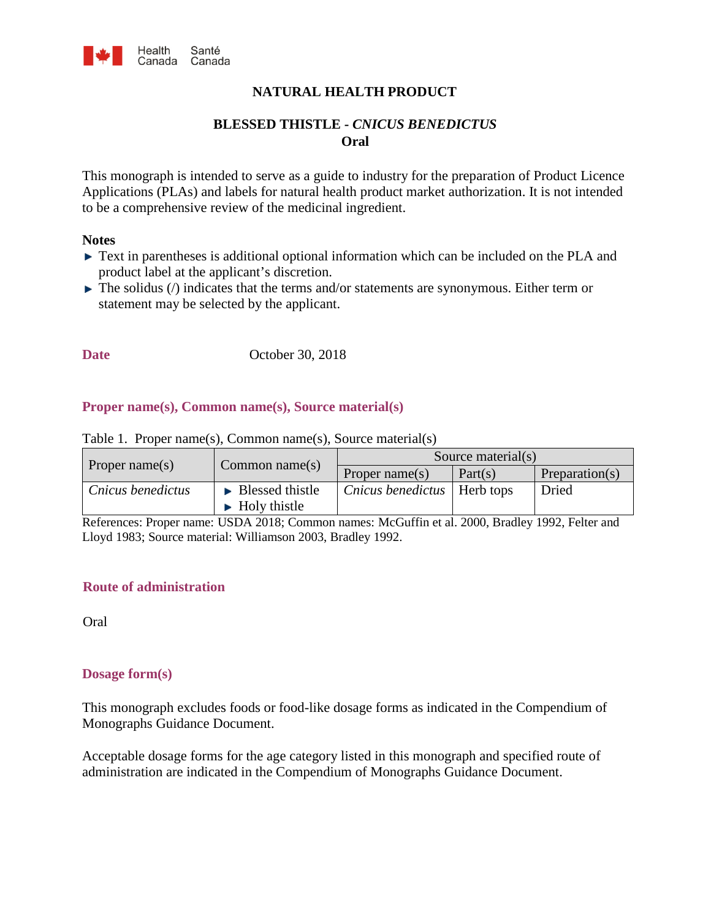

## **NATURAL HEALTH PRODUCT**

# **BLESSED THISTLE -** *CNICUS BENEDICTUS* **Oral**

This monograph is intended to serve as a guide to industry for the preparation of Product Licence Applications (PLAs) and labels for natural health product market authorization. It is not intended to be a comprehensive review of the medicinal ingredient.

#### **Notes**

- ► Text in parentheses is additional optional information which can be included on the PLA and product label at the applicant's discretion.
- $\blacktriangleright$  The solidus ( $\land$ ) indicates that the terms and/or statements are synonymous. Either term or statement may be selected by the applicant.

**Date** October 30, 2018

#### **Proper name(s), Common name(s), Source material(s)**

| Proper name(s)    | Common name $(s)$                     | Source material(s)                   |         |                |
|-------------------|---------------------------------------|--------------------------------------|---------|----------------|
|                   |                                       | Proper name $(s)$                    | Part(s) | Preparation(s) |
| Cnicus benedictus | $\blacktriangleright$ Blessed thistle | <i>Cnicus benedictus</i>   Herb tops |         | Dried          |
|                   | $\blacktriangleright$ Holy thistle    |                                      |         |                |

Table 1. Proper name(s), Common name(s), Source material(s)

References: Proper name: USDA 2018; Common names: McGuffin et al. 2000, Bradley 1992, Felter and Lloyd 1983; Source material: Williamson 2003, Bradley 1992.

#### **Route of administration**

Oral

#### **Dosage form(s)**

This monograph excludes foods or food-like dosage forms as indicated in the Compendium of Monographs Guidance Document.

Acceptable dosage forms for the age category listed in this monograph and specified route of administration are indicated in the Compendium of Monographs Guidance Document.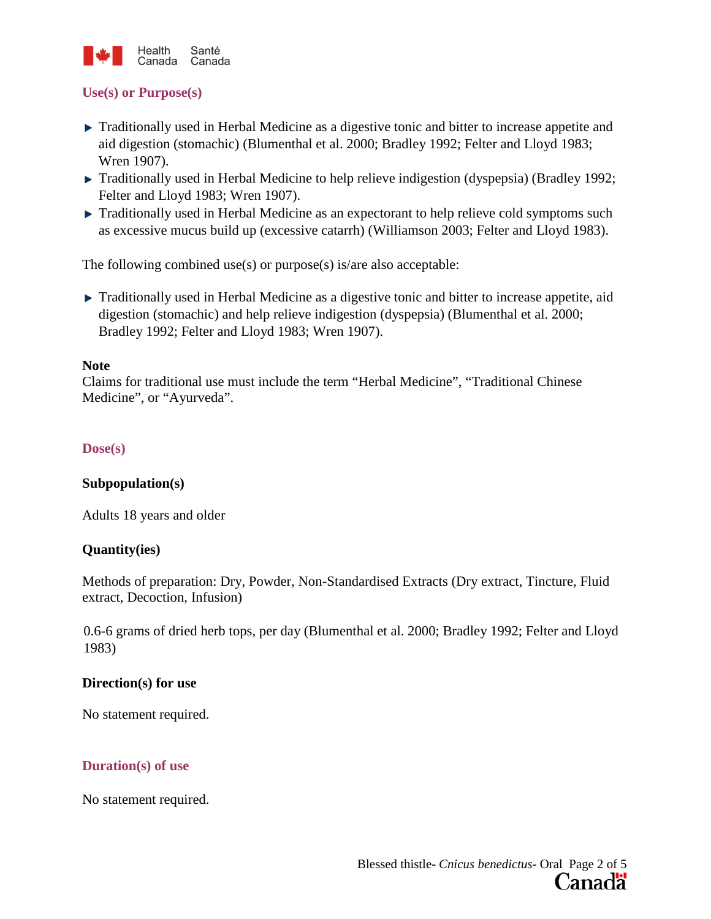

### **Use(s) or Purpose(s)**

- **Traditionally used in Herbal Medicine as a digestive tonic and bitter to increase appetite and** aid digestion (stomachic) (Blumenthal et al. 2000; Bradley 1992; Felter and Lloyd 1983; Wren 1907).
- ► Traditionally used in Herbal Medicine to help relieve indigestion (dyspepsia) (Bradley 1992; Felter and Lloyd 1983; Wren 1907).
- Traditionally used in Herbal Medicine as an expectorant to help relieve cold symptoms such as excessive mucus build up (excessive catarrh) (Williamson 2003; Felter and Lloyd 1983).

The following combined use(s) or purpose(s) is/are also acceptable:

**Traditionally used in Herbal Medicine as a digestive tonic and bitter to increase appetite, aid** digestion (stomachic) and help relieve indigestion (dyspepsia) (Blumenthal et al. 2000; Bradley 1992; Felter and Lloyd 1983; Wren 1907).

#### **Note**

Claims for traditional use must include the term "Herbal Medicine", "Traditional Chinese Medicine", or "Ayurveda".

## **Dose(s)**

### **Subpopulation(s)**

Adults 18 years and older

### **Quantity(ies)**

Methods of preparation: Dry, Powder, Non-Standardised Extracts (Dry extract, Tincture, Fluid extract, Decoction, Infusion)

0.6-6 grams of dried herb tops, per day (Blumenthal et al. 2000; Bradley 1992; Felter and Lloyd 1983)

### **Direction(s) for use**

No statement required.

### **Duration(s) of use**

No statement required.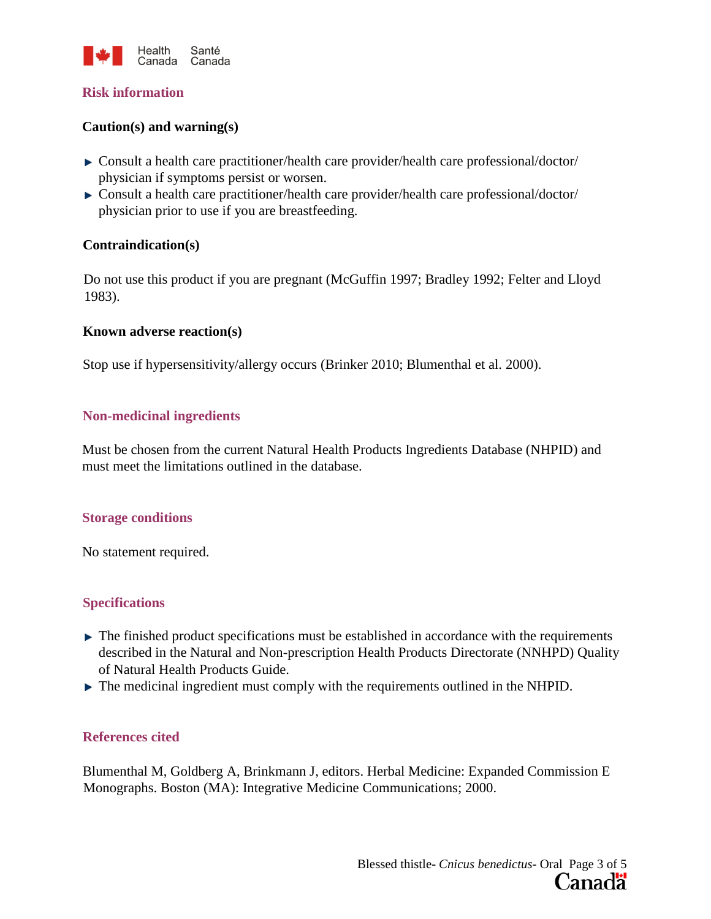

#### **Risk information**

### **Caution(s) and warning(s)**

- Consult a health care practitioner/health care provider/health care professional/doctor/ physician if symptoms persist or worsen.
- Consult a health care practitioner/health care provider/health care professional/doctor/ physician prior to use if you are breastfeeding.

### **Contraindication(s)**

Do not use this product if you are pregnant (McGuffin 1997; Bradley 1992; Felter and Lloyd 1983).

#### **Known adverse reaction(s)**

Stop use if hypersensitivity/allergy occurs (Brinker 2010; Blumenthal et al. 2000).

### **Non-medicinal ingredients**

Must be chosen from the current Natural Health Products Ingredients Database (NHPID) and must meet the limitations outlined in the database.

#### **Storage conditions**

No statement required.

### **Specifications**

- $\blacktriangleright$  The finished product specifications must be established in accordance with the requirements described in the Natural and Non-prescription Health Products Directorate (NNHPD) Quality of Natural Health Products Guide.
- $\blacktriangleright$  The medicinal ingredient must comply with the requirements outlined in the NHPID.

### **References cited**

Blumenthal M, Goldberg A, Brinkmann J, editors. Herbal Medicine: Expanded Commission E Monographs. Boston (MA): Integrative Medicine Communications; 2000.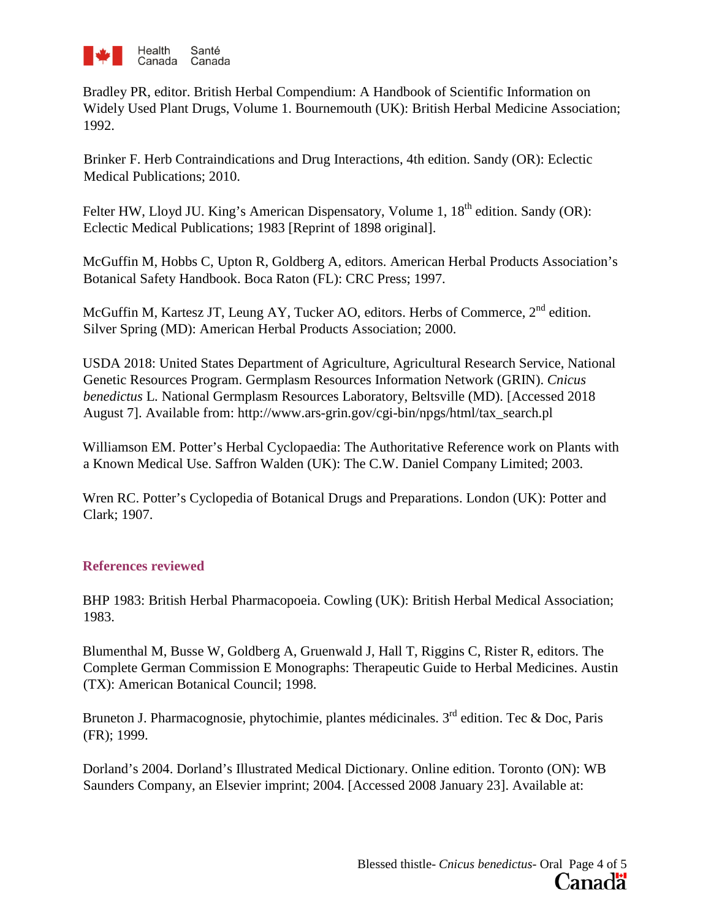

Bradley PR, editor. British Herbal Compendium: A Handbook of Scientific Information on Widely Used Plant Drugs, Volume 1. Bournemouth (UK): British Herbal Medicine Association; 1992.

Brinker F. Herb Contraindications and Drug Interactions, 4th edition. Sandy (OR): Eclectic Medical Publications; 2010.

Felter HW, Lloyd JU. King's American Dispensatory, Volume 1, 18<sup>th</sup> edition. Sandy (OR): Eclectic Medical Publications; 1983 [Reprint of 1898 original].

McGuffin M, Hobbs C, Upton R, Goldberg A, editors. American Herbal Products Association's Botanical Safety Handbook. Boca Raton (FL): CRC Press; 1997.

McGuffin M, Kartesz JT, Leung AY, Tucker AO, editors. Herbs of Commerce, 2<sup>nd</sup> edition. Silver Spring (MD): American Herbal Products Association; 2000.

USDA 2018: United States Department of Agriculture, Agricultural Research Service, National Genetic Resources Program. Germplasm Resources Information Network (GRIN). *Cnicus benedictus* L*.* National Germplasm Resources Laboratory, Beltsville (MD). [Accessed 2018 August 7]. Available from: http://www.ars-grin.gov/cgi-bin/npgs/html/tax\_search.pl

Williamson EM. Potter's Herbal Cyclopaedia: The Authoritative Reference work on Plants with a Known Medical Use. Saffron Walden (UK): The C.W. Daniel Company Limited; 2003.

Wren RC. Potter's Cyclopedia of Botanical Drugs and Preparations. London (UK): Potter and Clark; 1907.

# **References reviewed**

BHP 1983: British Herbal Pharmacopoeia. Cowling (UK): British Herbal Medical Association; 1983.

Blumenthal M, Busse W, Goldberg A, Gruenwald J, Hall T, Riggins C, Rister R, editors. The Complete German Commission E Monographs: Therapeutic Guide to Herbal Medicines. Austin (TX): American Botanical Council; 1998.

Bruneton J. Pharmacognosie, phytochimie, plantes médicinales.  $3<sup>rd</sup>$  edition. Tec & Doc, Paris (FR); 1999.

Dorland's 2004. Dorland's Illustrated Medical Dictionary. Online edition. Toronto (ON): WB Saunders Company, an Elsevier imprint; 2004. [Accessed 2008 January 23]. Available at: